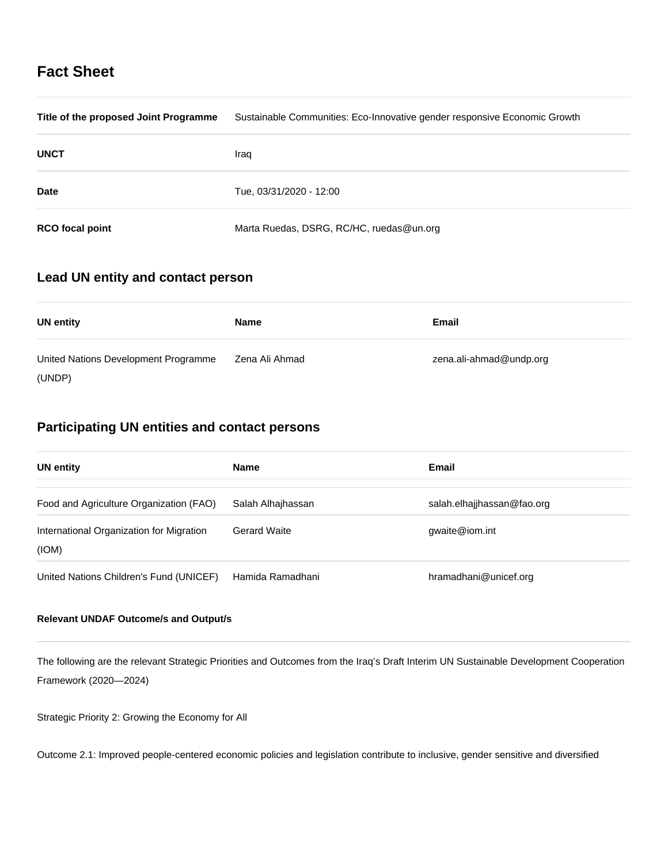# **Fact Sheet**

| Title of the proposed Joint Programme | Sustainable Communities: Eco-Innovative gender responsive Economic Growth |
|---------------------------------------|---------------------------------------------------------------------------|
| <b>UNCT</b>                           | Iraq                                                                      |
| <b>Date</b>                           | Tue, 03/31/2020 - 12:00                                                   |
| <b>RCO</b> focal point                | Marta Ruedas, DSRG, RC/HC, ruedas@un.org                                  |

# **Lead UN entity and contact person**

| <b>UN entity</b>                     | Name           | Email                   |
|--------------------------------------|----------------|-------------------------|
| United Nations Development Programme | Zena Ali Ahmad | zena.ali-ahmad@undp.org |
| (UNDP)                               |                |                         |

# **Participating UN entities and contact persons**

| <b>UN entity</b>                                  | <b>Name</b>         | Email                      |
|---------------------------------------------------|---------------------|----------------------------|
| Food and Agriculture Organization (FAO)           | Salah Alhajhassan   | salah.elhajihassan@fao.org |
| International Organization for Migration<br>(ION) | <b>Gerard Waite</b> | gwaite@iom.int             |
| United Nations Children's Fund (UNICEF)           | Hamida Ramadhani    | hramadhani@unicef.org      |

## **Relevant UNDAF Outcome/s and Output/s**

The following are the relevant Strategic Priorities and Outcomes from the Iraq's Draft Interim UN Sustainable Development Cooperation Framework (2020—2024)

Strategic Priority 2: Growing the Economy for All

Outcome 2.1: Improved people-centered economic policies and legislation contribute to inclusive, gender sensitive and diversified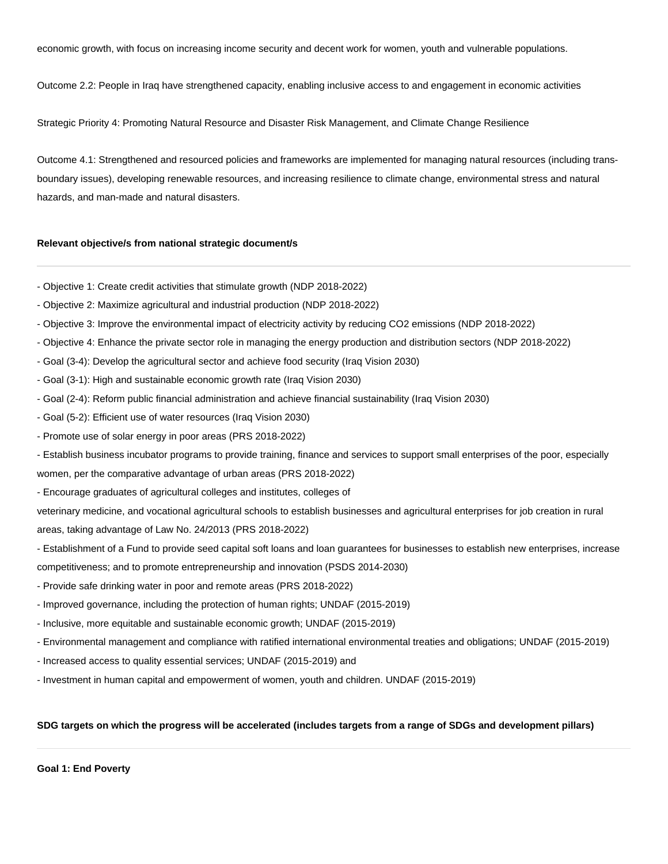economic growth, with focus on increasing income security and decent work for women, youth and vulnerable populations.

Outcome 2.2: People in Iraq have strengthened capacity, enabling inclusive access to and engagement in economic activities

Strategic Priority 4: Promoting Natural Resource and Disaster Risk Management, and Climate Change Resilience

Outcome 4.1: Strengthened and resourced policies and frameworks are implemented for managing natural resources (including transboundary issues), developing renewable resources, and increasing resilience to climate change, environmental stress and natural hazards, and man-made and natural disasters.

#### **Relevant objective/s from national strategic document/s**

- Objective 1: Create credit activities that stimulate growth (NDP 2018-2022)
- Objective 2: Maximize agricultural and industrial production (NDP 2018-2022)
- Objective 3: Improve the environmental impact of electricity activity by reducing CO2 emissions (NDP 2018-2022)
- Objective 4: Enhance the private sector role in managing the energy production and distribution sectors (NDP 2018-2022)
- Goal (3-4): Develop the agricultural sector and achieve food security (Iraq Vision 2030)
- Goal (3-1): High and sustainable economic growth rate (Iraq Vision 2030)
- Goal (2-4): Reform public financial administration and achieve financial sustainability (Iraq Vision 2030)
- Goal (5-2): Efficient use of water resources (Iraq Vision 2030)
- Promote use of solar energy in poor areas (PRS 2018-2022)
- Establish business incubator programs to provide training, finance and services to support small enterprises of the poor, especially women, per the comparative advantage of urban areas (PRS 2018-2022)
- Encourage graduates of agricultural colleges and institutes, colleges of

veterinary medicine, and vocational agricultural schools to establish businesses and agricultural enterprises for job creation in rural areas, taking advantage of Law No. 24/2013 (PRS 2018-2022)

- Establishment of a Fund to provide seed capital soft loans and loan guarantees for businesses to establish new enterprises, increase competitiveness; and to promote entrepreneurship and innovation (PSDS 2014-2030)
- Provide safe drinking water in poor and remote areas (PRS 2018-2022)
- Improved governance, including the protection of human rights; UNDAF (2015-2019)
- Inclusive, more equitable and sustainable economic growth; UNDAF (2015-2019)
- Environmental management and compliance with ratified international environmental treaties and obligations; UNDAF (2015-2019)
- Increased access to quality essential services; UNDAF (2015-2019) and
- Investment in human capital and empowerment of women, youth and children. UNDAF (2015-2019)

## **SDG targets on which the progress will be accelerated (includes targets from a range of SDGs and development pillars)**

**Goal 1: End Poverty**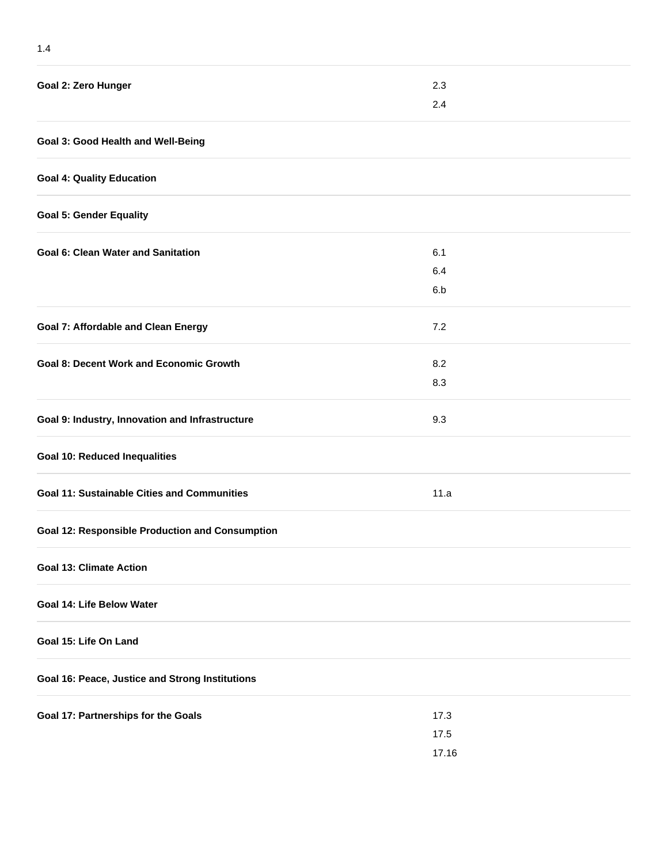| Goal 2: Zero Hunger                                    | 2.3   |  |
|--------------------------------------------------------|-------|--|
|                                                        | 2.4   |  |
| Goal 3: Good Health and Well-Being                     |       |  |
| <b>Goal 4: Quality Education</b>                       |       |  |
| <b>Goal 5: Gender Equality</b>                         |       |  |
| <b>Goal 6: Clean Water and Sanitation</b>              | 6.1   |  |
|                                                        | 6.4   |  |
|                                                        | 6.b   |  |
| <b>Goal 7: Affordable and Clean Energy</b>             | 7.2   |  |
| <b>Goal 8: Decent Work and Economic Growth</b>         | 8.2   |  |
|                                                        | 8.3   |  |
| Goal 9: Industry, Innovation and Infrastructure        | 9.3   |  |
| <b>Goal 10: Reduced Inequalities</b>                   |       |  |
| <b>Goal 11: Sustainable Cities and Communities</b>     | 11.a  |  |
| <b>Goal 12: Responsible Production and Consumption</b> |       |  |
| <b>Goal 13: Climate Action</b>                         |       |  |
| Goal 14: Life Below Water                              |       |  |
| Goal 15: Life On Land                                  |       |  |
| Goal 16: Peace, Justice and Strong Institutions        |       |  |
| Goal 17: Partnerships for the Goals                    | 17.3  |  |
|                                                        | 17.5  |  |
|                                                        | 17.16 |  |
|                                                        |       |  |

1.4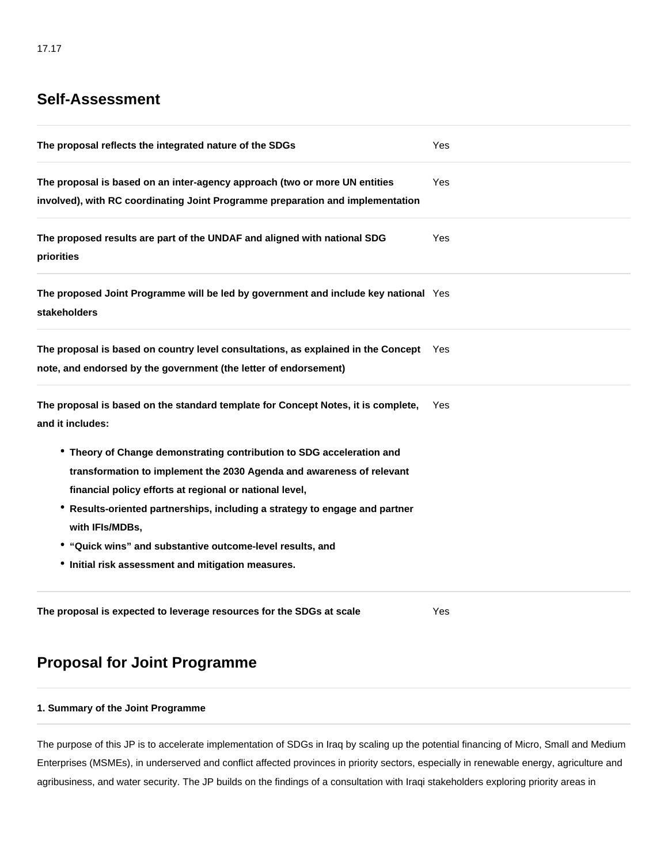# **Self-Assessment**

| The proposal reflects the integrated nature of the SDGs                                                                                                      | Yes        |
|--------------------------------------------------------------------------------------------------------------------------------------------------------------|------------|
| The proposal is based on an inter-agency approach (two or more UN entities<br>involved), with RC coordinating Joint Programme preparation and implementation | <b>Yes</b> |
| The proposed results are part of the UNDAF and aligned with national SDG<br>priorities                                                                       | Yes        |
| The proposed Joint Programme will be led by government and include key national Yes<br>stakeholders                                                          |            |
| The proposal is based on country level consultations, as explained in the Concept Yes<br>note, and endorsed by the government (the letter of endorsement)    |            |
| The proposal is based on the standard template for Concept Notes, it is complete,<br>and it includes:                                                        | Yes        |
| • Theory of Change demonstrating contribution to SDG acceleration and                                                                                        |            |
| transformation to implement the 2030 Agenda and awareness of relevant                                                                                        |            |
| financial policy efforts at regional or national level,                                                                                                      |            |
| * Results-oriented partnerships, including a strategy to engage and partner                                                                                  |            |
| with IFIs/MDBs,                                                                                                                                              |            |
| • "Quick wins" and substantive outcome-level results, and                                                                                                    |            |
| • Initial risk assessment and mitigation measures.                                                                                                           |            |
|                                                                                                                                                              |            |

**The proposal is expected to leverage resources for the SDGs at scale** Yes

# **Proposal for Joint Programme**

## **1. Summary of the Joint Programme**

The purpose of this JP is to accelerate implementation of SDGs in Iraq by scaling up the potential financing of Micro, Small and Medium Enterprises (MSMEs), in underserved and conflict affected provinces in priority sectors, especially in renewable energy, agriculture and agribusiness, and water security. The JP builds on the findings of a consultation with Iraqi stakeholders exploring priority areas in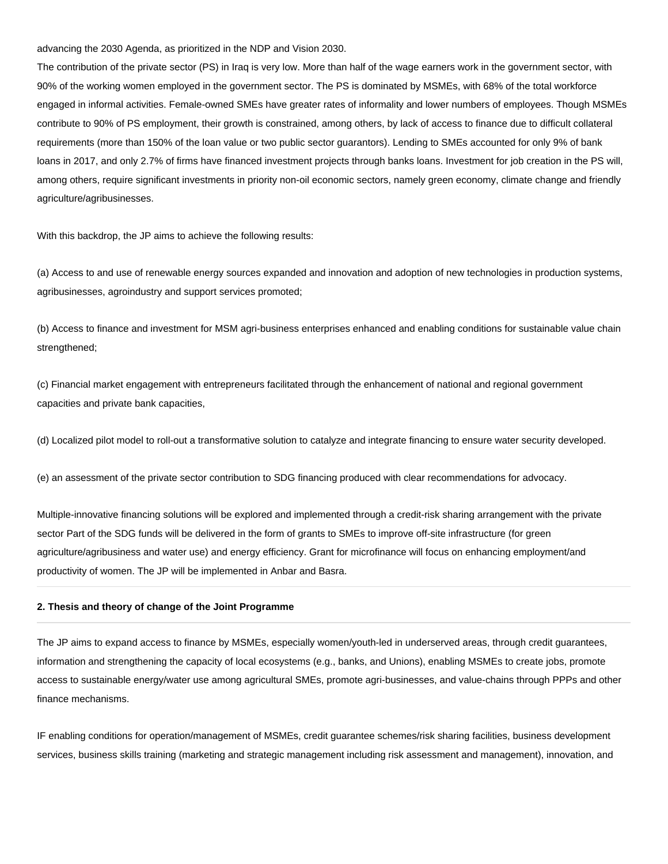advancing the 2030 Agenda, as prioritized in the NDP and Vision 2030.

The contribution of the private sector (PS) in Iraq is very low. More than half of the wage earners work in the government sector, with 90% of the working women employed in the government sector. The PS is dominated by MSMEs, with 68% of the total workforce engaged in informal activities. Female-owned SMEs have greater rates of informality and lower numbers of employees. Though MSMEs contribute to 90% of PS employment, their growth is constrained, among others, by lack of access to finance due to difficult collateral requirements (more than 150% of the loan value or two public sector guarantors). Lending to SMEs accounted for only 9% of bank loans in 2017, and only 2.7% of firms have financed investment projects through banks loans. Investment for job creation in the PS will, among others, require significant investments in priority non-oil economic sectors, namely green economy, climate change and friendly agriculture/agribusinesses.

With this backdrop, the JP aims to achieve the following results:

(a) Access to and use of renewable energy sources expanded and innovation and adoption of new technologies in production systems, agribusinesses, agroindustry and support services promoted;

(b) Access to finance and investment for MSM agri-business enterprises enhanced and enabling conditions for sustainable value chain strengthened;

(c) Financial market engagement with entrepreneurs facilitated through the enhancement of national and regional government capacities and private bank capacities,

(d) Localized pilot model to roll-out a transformative solution to catalyze and integrate financing to ensure water security developed.

(e) an assessment of the private sector contribution to SDG financing produced with clear recommendations for advocacy.

Multiple-innovative financing solutions will be explored and implemented through a credit-risk sharing arrangement with the private sector Part of the SDG funds will be delivered in the form of grants to SMEs to improve off-site infrastructure (for green agriculture/agribusiness and water use) and energy efficiency. Grant for microfinance will focus on enhancing employment/and productivity of women. The JP will be implemented in Anbar and Basra.

#### **2. Thesis and theory of change of the Joint Programme**

The JP aims to expand access to finance by MSMEs, especially women/youth-led in underserved areas, through credit guarantees, information and strengthening the capacity of local ecosystems (e.g., banks, and Unions), enabling MSMEs to create jobs, promote access to sustainable energy/water use among agricultural SMEs, promote agri-businesses, and value-chains through PPPs and other finance mechanisms.

IF enabling conditions for operation/management of MSMEs, credit guarantee schemes/risk sharing facilities, business development services, business skills training (marketing and strategic management including risk assessment and management), innovation, and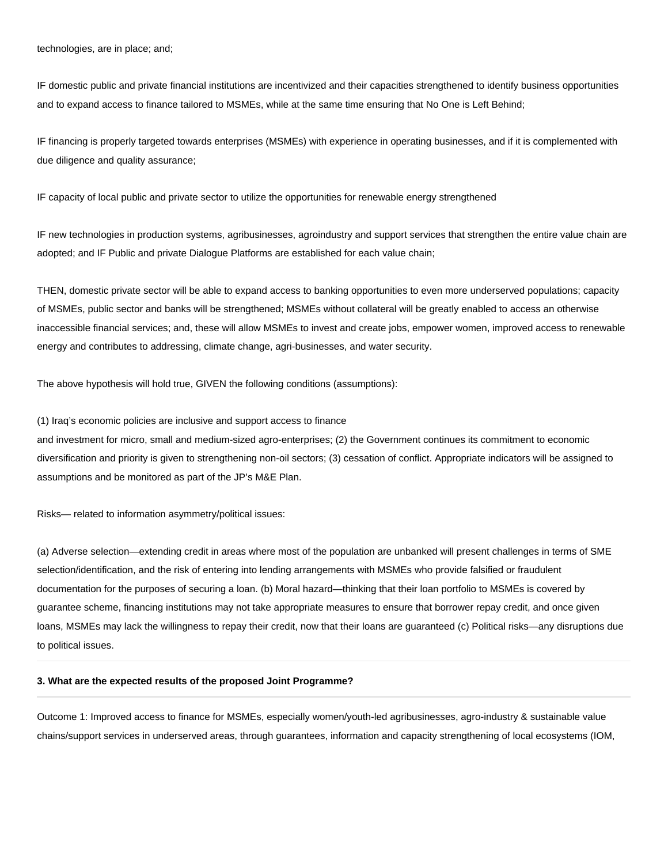technologies, are in place; and;

IF domestic public and private financial institutions are incentivized and their capacities strengthened to identify business opportunities and to expand access to finance tailored to MSMEs, while at the same time ensuring that No One is Left Behind;

IF financing is properly targeted towards enterprises (MSMEs) with experience in operating businesses, and if it is complemented with due diligence and quality assurance;

IF capacity of local public and private sector to utilize the opportunities for renewable energy strengthened

IF new technologies in production systems, agribusinesses, agroindustry and support services that strengthen the entire value chain are adopted; and IF Public and private Dialogue Platforms are established for each value chain;

THEN, domestic private sector will be able to expand access to banking opportunities to even more underserved populations; capacity of MSMEs, public sector and banks will be strengthened; MSMEs without collateral will be greatly enabled to access an otherwise inaccessible financial services; and, these will allow MSMEs to invest and create jobs, empower women, improved access to renewable energy and contributes to addressing, climate change, agri-businesses, and water security.

The above hypothesis will hold true, GIVEN the following conditions (assumptions):

(1) Iraq's economic policies are inclusive and support access to finance

and investment for micro, small and medium-sized agro-enterprises; (2) the Government continues its commitment to economic diversification and priority is given to strengthening non-oil sectors; (3) cessation of conflict. Appropriate indicators will be assigned to assumptions and be monitored as part of the JP's M&E Plan.

Risks— related to information asymmetry/political issues:

(a) Adverse selection—extending credit in areas where most of the population are unbanked will present challenges in terms of SME selection/identification, and the risk of entering into lending arrangements with MSMEs who provide falsified or fraudulent documentation for the purposes of securing a loan. (b) Moral hazard—thinking that their loan portfolio to MSMEs is covered by guarantee scheme, financing institutions may not take appropriate measures to ensure that borrower repay credit, and once given loans, MSMEs may lack the willingness to repay their credit, now that their loans are guaranteed (c) Political risks—any disruptions due to political issues.

#### **3. What are the expected results of the proposed Joint Programme?**

Outcome 1: Improved access to finance for MSMEs, especially women/youth-led agribusinesses, agro-industry & sustainable value chains/support services in underserved areas, through guarantees, information and capacity strengthening of local ecosystems (IOM,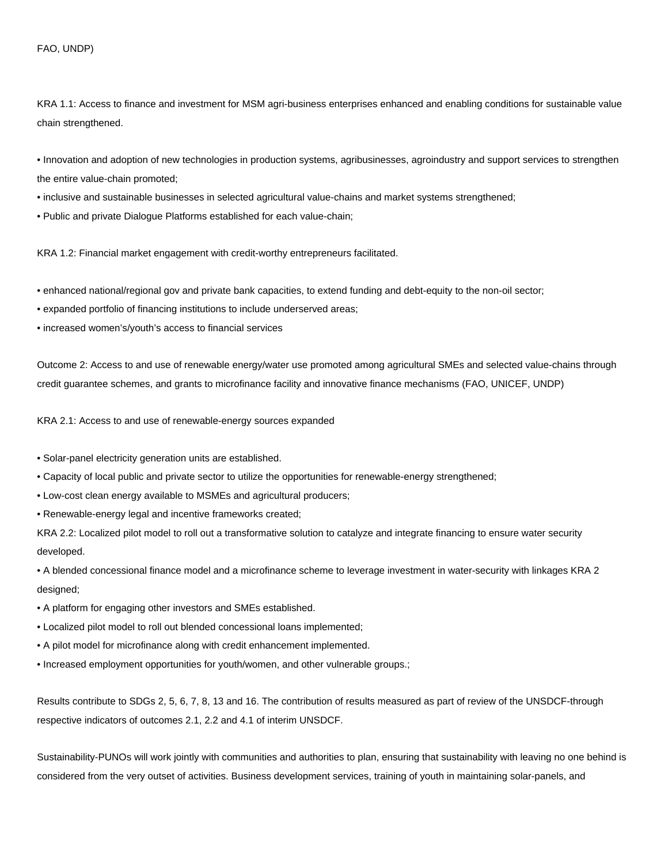#### FAO, UNDP)

KRA 1.1: Access to finance and investment for MSM agri-business enterprises enhanced and enabling conditions for sustainable value chain strengthened.

• Innovation and adoption of new technologies in production systems, agribusinesses, agroindustry and support services to strengthen the entire value-chain promoted;

- inclusive and sustainable businesses in selected agricultural value-chains and market systems strengthened;
- Public and private Dialogue Platforms established for each value-chain;

KRA 1.2: Financial market engagement with credit-worthy entrepreneurs facilitated.

- enhanced national/regional gov and private bank capacities, to extend funding and debt-equity to the non-oil sector;
- expanded portfolio of financing institutions to include underserved areas;
- increased women's/youth's access to financial services

Outcome 2: Access to and use of renewable energy/water use promoted among agricultural SMEs and selected value-chains through credit guarantee schemes, and grants to microfinance facility and innovative finance mechanisms (FAO, UNICEF, UNDP)

KRA 2.1: Access to and use of renewable-energy sources expanded

- Solar-panel electricity generation units are established.
- Capacity of local public and private sector to utilize the opportunities for renewable-energy strengthened;
- Low-cost clean energy available to MSMEs and agricultural producers;
- Renewable-energy legal and incentive frameworks created;

KRA 2.2: Localized pilot model to roll out a transformative solution to catalyze and integrate financing to ensure water security developed.

• A blended concessional finance model and a microfinance scheme to leverage investment in water-security with linkages KRA 2 designed;

- A platform for engaging other investors and SMEs established.
- Localized pilot model to roll out blended concessional loans implemented;
- A pilot model for microfinance along with credit enhancement implemented.
- Increased employment opportunities for youth/women, and other vulnerable groups.;

Results contribute to SDGs 2, 5, 6, 7, 8, 13 and 16. The contribution of results measured as part of review of the UNSDCF-through respective indicators of outcomes 2.1, 2.2 and 4.1 of interim UNSDCF.

Sustainability-PUNOs will work jointly with communities and authorities to plan, ensuring that sustainability with leaving no one behind is considered from the very outset of activities. Business development services, training of youth in maintaining solar-panels, and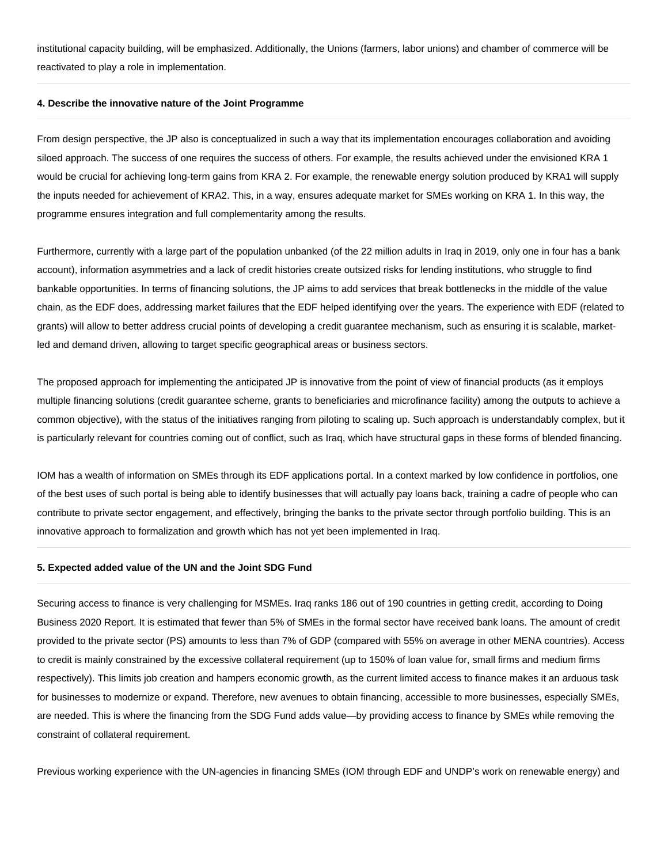institutional capacity building, will be emphasized. Additionally, the Unions (farmers, labor unions) and chamber of commerce will be reactivated to play a role in implementation.

#### **4. Describe the innovative nature of the Joint Programme**

From design perspective, the JP also is conceptualized in such a way that its implementation encourages collaboration and avoiding siloed approach. The success of one requires the success of others. For example, the results achieved under the envisioned KRA 1 would be crucial for achieving long-term gains from KRA 2. For example, the renewable energy solution produced by KRA1 will supply the inputs needed for achievement of KRA2. This, in a way, ensures adequate market for SMEs working on KRA 1. In this way, the programme ensures integration and full complementarity among the results.

Furthermore, currently with a large part of the population unbanked (of the 22 million adults in Iraq in 2019, only one in four has a bank account), information asymmetries and a lack of credit histories create outsized risks for lending institutions, who struggle to find bankable opportunities. In terms of financing solutions, the JP aims to add services that break bottlenecks in the middle of the value chain, as the EDF does, addressing market failures that the EDF helped identifying over the years. The experience with EDF (related to grants) will allow to better address crucial points of developing a credit guarantee mechanism, such as ensuring it is scalable, marketled and demand driven, allowing to target specific geographical areas or business sectors.

The proposed approach for implementing the anticipated JP is innovative from the point of view of financial products (as it employs multiple financing solutions (credit guarantee scheme, grants to beneficiaries and microfinance facility) among the outputs to achieve a common objective), with the status of the initiatives ranging from piloting to scaling up. Such approach is understandably complex, but it is particularly relevant for countries coming out of conflict, such as Iraq, which have structural gaps in these forms of blended financing.

IOM has a wealth of information on SMEs through its EDF applications portal. In a context marked by low confidence in portfolios, one of the best uses of such portal is being able to identify businesses that will actually pay loans back, training a cadre of people who can contribute to private sector engagement, and effectively, bringing the banks to the private sector through portfolio building. This is an innovative approach to formalization and growth which has not yet been implemented in Iraq.

### **5. Expected added value of the UN and the Joint SDG Fund**

Securing access to finance is very challenging for MSMEs. Iraq ranks 186 out of 190 countries in getting credit, according to Doing Business 2020 Report. It is estimated that fewer than 5% of SMEs in the formal sector have received bank loans. The amount of credit provided to the private sector (PS) amounts to less than 7% of GDP (compared with 55% on average in other MENA countries). Access to credit is mainly constrained by the excessive collateral requirement (up to 150% of loan value for, small firms and medium firms respectively). This limits job creation and hampers economic growth, as the current limited access to finance makes it an arduous task for businesses to modernize or expand. Therefore, new avenues to obtain financing, accessible to more businesses, especially SMEs, are needed. This is where the financing from the SDG Fund adds value—by providing access to finance by SMEs while removing the constraint of collateral requirement.

Previous working experience with the UN-agencies in financing SMEs (IOM through EDF and UNDP's work on renewable energy) and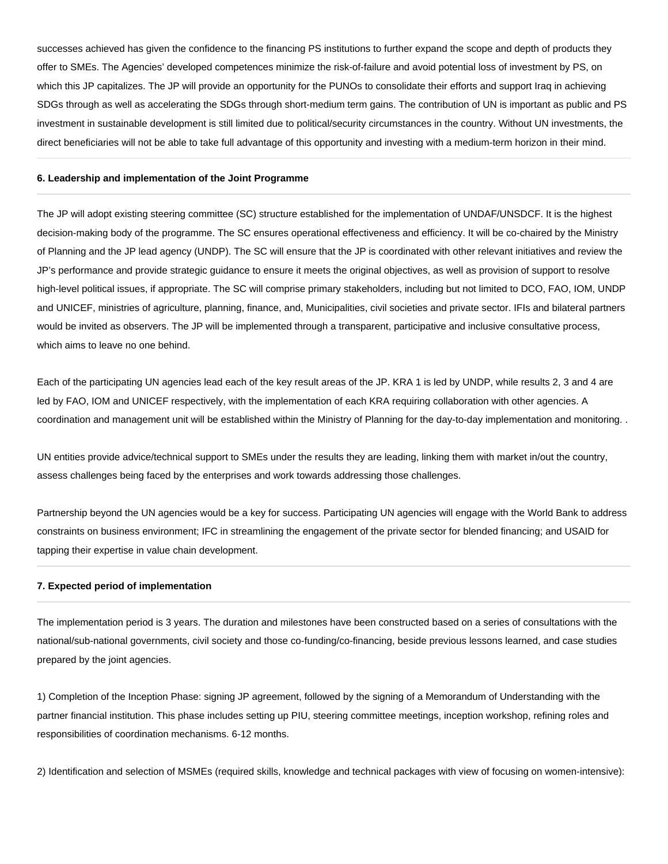successes achieved has given the confidence to the financing PS institutions to further expand the scope and depth of products they offer to SMEs. The Agencies' developed competences minimize the risk-of-failure and avoid potential loss of investment by PS, on which this JP capitalizes. The JP will provide an opportunity for the PUNOs to consolidate their efforts and support Iraq in achieving SDGs through as well as accelerating the SDGs through short-medium term gains. The contribution of UN is important as public and PS investment in sustainable development is still limited due to political/security circumstances in the country. Without UN investments, the direct beneficiaries will not be able to take full advantage of this opportunity and investing with a medium-term horizon in their mind.

#### **6. Leadership and implementation of the Joint Programme**

The JP will adopt existing steering committee (SC) structure established for the implementation of UNDAF/UNSDCF. It is the highest decision-making body of the programme. The SC ensures operational effectiveness and efficiency. It will be co-chaired by the Ministry of Planning and the JP lead agency (UNDP). The SC will ensure that the JP is coordinated with other relevant initiatives and review the JP's performance and provide strategic guidance to ensure it meets the original objectives, as well as provision of support to resolve high-level political issues, if appropriate. The SC will comprise primary stakeholders, including but not limited to DCO, FAO, IOM, UNDP and UNICEF, ministries of agriculture, planning, finance, and, Municipalities, civil societies and private sector. IFIs and bilateral partners would be invited as observers. The JP will be implemented through a transparent, participative and inclusive consultative process, which aims to leave no one behind.

Each of the participating UN agencies lead each of the key result areas of the JP. KRA 1 is led by UNDP, while results 2, 3 and 4 are led by FAO, IOM and UNICEF respectively, with the implementation of each KRA requiring collaboration with other agencies. A coordination and management unit will be established within the Ministry of Planning for the day-to-day implementation and monitoring. .

UN entities provide advice/technical support to SMEs under the results they are leading, linking them with market in/out the country, assess challenges being faced by the enterprises and work towards addressing those challenges.

Partnership beyond the UN agencies would be a key for success. Participating UN agencies will engage with the World Bank to address constraints on business environment; IFC in streamlining the engagement of the private sector for blended financing; and USAID for tapping their expertise in value chain development.

#### **7. Expected period of implementation**

The implementation period is 3 years. The duration and milestones have been constructed based on a series of consultations with the national/sub-national governments, civil society and those co-funding/co-financing, beside previous lessons learned, and case studies prepared by the joint agencies.

1) Completion of the Inception Phase: signing JP agreement, followed by the signing of a Memorandum of Understanding with the partner financial institution. This phase includes setting up PIU, steering committee meetings, inception workshop, refining roles and responsibilities of coordination mechanisms. 6-12 months.

2) Identification and selection of MSMEs (required skills, knowledge and technical packages with view of focusing on women-intensive):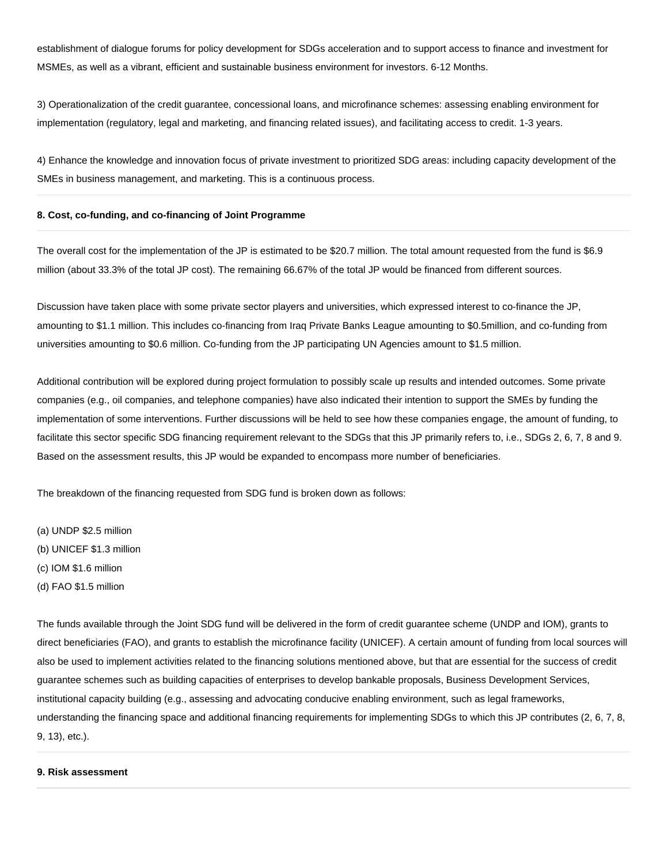establishment of dialogue forums for policy development for SDGs acceleration and to support access to finance and investment for MSMEs, as well as a vibrant, efficient and sustainable business environment for investors. 6-12 Months.

3) Operationalization of the credit guarantee, concessional loans, and microfinance schemes: assessing enabling environment for implementation (regulatory, legal and marketing, and financing related issues), and facilitating access to credit. 1-3 years.

4) Enhance the knowledge and innovation focus of private investment to prioritized SDG areas: including capacity development of the SMEs in business management, and marketing. This is a continuous process.

#### **8. Cost, co-funding, and co-financing of Joint Programme**

The overall cost for the implementation of the JP is estimated to be \$20.7 million. The total amount requested from the fund is \$6.9 million (about 33.3% of the total JP cost). The remaining 66.67% of the total JP would be financed from different sources.

Discussion have taken place with some private sector players and universities, which expressed interest to co-finance the JP, amounting to \$1.1 million. This includes co-financing from Iraq Private Banks League amounting to \$0.5million, and co-funding from universities amounting to \$0.6 million. Co-funding from the JP participating UN Agencies amount to \$1.5 million.

Additional contribution will be explored during project formulation to possibly scale up results and intended outcomes. Some private companies (e.g., oil companies, and telephone companies) have also indicated their intention to support the SMEs by funding the implementation of some interventions. Further discussions will be held to see how these companies engage, the amount of funding, to facilitate this sector specific SDG financing requirement relevant to the SDGs that this JP primarily refers to, i.e., SDGs 2, 6, 7, 8 and 9. Based on the assessment results, this JP would be expanded to encompass more number of beneficiaries.

The breakdown of the financing requested from SDG fund is broken down as follows:

(a) UNDP \$2.5 million (b) UNICEF \$1.3 million (c) IOM \$1.6 million

(d) FAO \$1.5 million

The funds available through the Joint SDG fund will be delivered in the form of credit guarantee scheme (UNDP and IOM), grants to direct beneficiaries (FAO), and grants to establish the microfinance facility (UNICEF). A certain amount of funding from local sources will also be used to implement activities related to the financing solutions mentioned above, but that are essential for the success of credit guarantee schemes such as building capacities of enterprises to develop bankable proposals, Business Development Services, institutional capacity building (e.g., assessing and advocating conducive enabling environment, such as legal frameworks, understanding the financing space and additional financing requirements for implementing SDGs to which this JP contributes (2, 6, 7, 8, 9, 13), etc.).

#### **9. Risk assessment**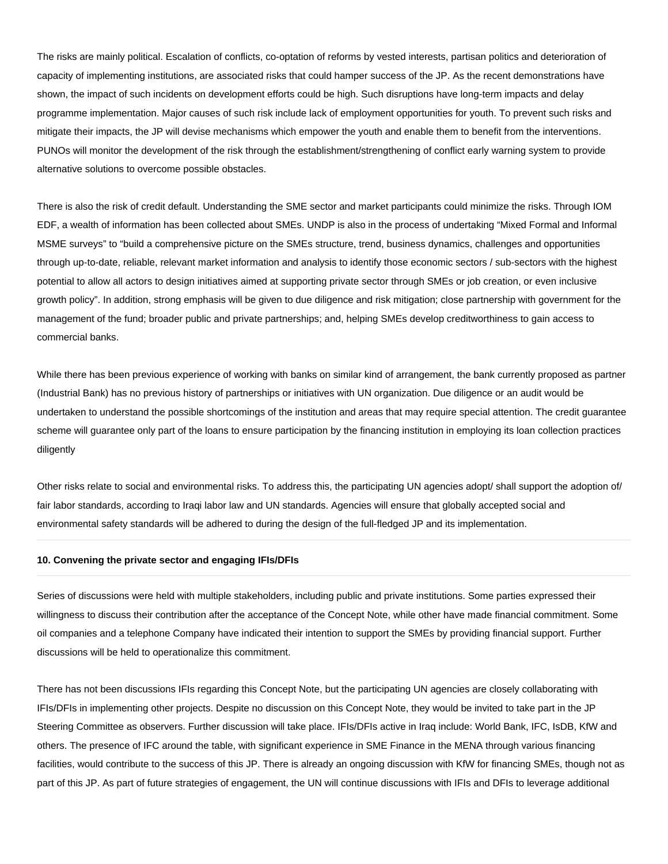The risks are mainly political. Escalation of conflicts, co-optation of reforms by vested interests, partisan politics and deterioration of capacity of implementing institutions, are associated risks that could hamper success of the JP. As the recent demonstrations have shown, the impact of such incidents on development efforts could be high. Such disruptions have long-term impacts and delay programme implementation. Major causes of such risk include lack of employment opportunities for youth. To prevent such risks and mitigate their impacts, the JP will devise mechanisms which empower the youth and enable them to benefit from the interventions. PUNOs will monitor the development of the risk through the establishment/strengthening of conflict early warning system to provide alternative solutions to overcome possible obstacles.

There is also the risk of credit default. Understanding the SME sector and market participants could minimize the risks. Through IOM EDF, a wealth of information has been collected about SMEs. UNDP is also in the process of undertaking "Mixed Formal and Informal MSME surveys" to "build a comprehensive picture on the SMEs structure, trend, business dynamics, challenges and opportunities through up-to-date, reliable, relevant market information and analysis to identify those economic sectors / sub-sectors with the highest potential to allow all actors to design initiatives aimed at supporting private sector through SMEs or job creation, or even inclusive growth policy". In addition, strong emphasis will be given to due diligence and risk mitigation; close partnership with government for the management of the fund; broader public and private partnerships; and, helping SMEs develop creditworthiness to gain access to commercial banks.

While there has been previous experience of working with banks on similar kind of arrangement, the bank currently proposed as partner (Industrial Bank) has no previous history of partnerships or initiatives with UN organization. Due diligence or an audit would be undertaken to understand the possible shortcomings of the institution and areas that may require special attention. The credit guarantee scheme will guarantee only part of the loans to ensure participation by the financing institution in employing its loan collection practices diligently

Other risks relate to social and environmental risks. To address this, the participating UN agencies adopt/ shall support the adoption of/ fair labor standards, according to Iraqi labor law and UN standards. Agencies will ensure that globally accepted social and environmental safety standards will be adhered to during the design of the full-fledged JP and its implementation.

#### **10. Convening the private sector and engaging IFIs/DFIs**

Series of discussions were held with multiple stakeholders, including public and private institutions. Some parties expressed their willingness to discuss their contribution after the acceptance of the Concept Note, while other have made financial commitment. Some oil companies and a telephone Company have indicated their intention to support the SMEs by providing financial support. Further discussions will be held to operationalize this commitment.

There has not been discussions IFIs regarding this Concept Note, but the participating UN agencies are closely collaborating with IFIs/DFIs in implementing other projects. Despite no discussion on this Concept Note, they would be invited to take part in the JP Steering Committee as observers. Further discussion will take place. IFIs/DFIs active in Iraq include: World Bank, IFC, IsDB, KfW and others. The presence of IFC around the table, with significant experience in SME Finance in the MENA through various financing facilities, would contribute to the success of this JP. There is already an ongoing discussion with KfW for financing SMEs, though not as part of this JP. As part of future strategies of engagement, the UN will continue discussions with IFIs and DFIs to leverage additional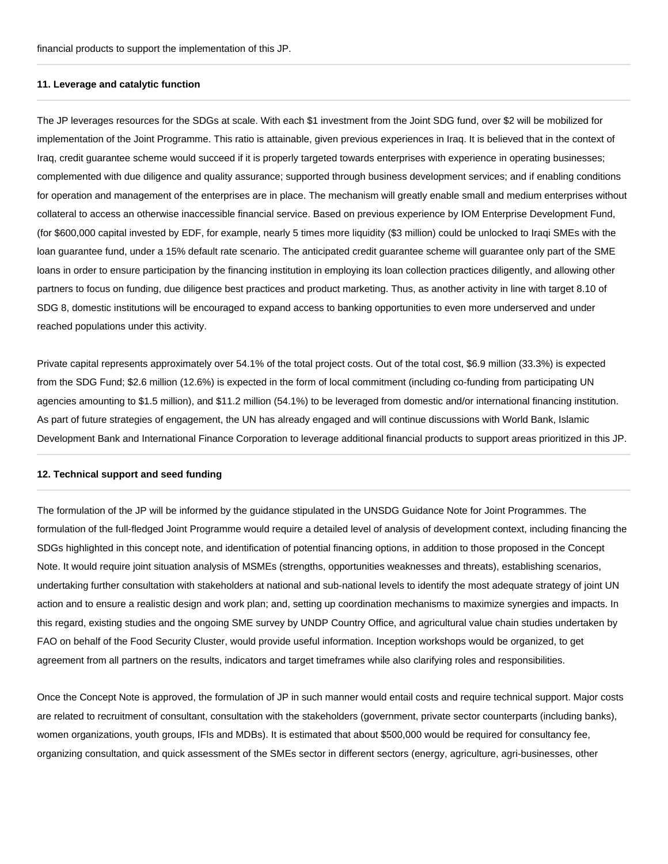#### **11. Leverage and catalytic function**

The JP leverages resources for the SDGs at scale. With each \$1 investment from the Joint SDG fund, over \$2 will be mobilized for implementation of the Joint Programme. This ratio is attainable, given previous experiences in Iraq. It is believed that in the context of Iraq, credit guarantee scheme would succeed if it is properly targeted towards enterprises with experience in operating businesses; complemented with due diligence and quality assurance; supported through business development services; and if enabling conditions for operation and management of the enterprises are in place. The mechanism will greatly enable small and medium enterprises without collateral to access an otherwise inaccessible financial service. Based on previous experience by IOM Enterprise Development Fund, (for \$600,000 capital invested by EDF, for example, nearly 5 times more liquidity (\$3 million) could be unlocked to Iraqi SMEs with the loan guarantee fund, under a 15% default rate scenario. The anticipated credit guarantee scheme will guarantee only part of the SME loans in order to ensure participation by the financing institution in employing its loan collection practices diligently, and allowing other partners to focus on funding, due diligence best practices and product marketing. Thus, as another activity in line with target 8.10 of SDG 8, domestic institutions will be encouraged to expand access to banking opportunities to even more underserved and under reached populations under this activity.

Private capital represents approximately over 54.1% of the total project costs. Out of the total cost, \$6.9 million (33.3%) is expected from the SDG Fund; \$2.6 million (12.6%) is expected in the form of local commitment (including co-funding from participating UN agencies amounting to \$1.5 million), and \$11.2 million (54.1%) to be leveraged from domestic and/or international financing institution. As part of future strategies of engagement, the UN has already engaged and will continue discussions with World Bank, Islamic Development Bank and International Finance Corporation to leverage additional financial products to support areas prioritized in this JP.

### **12. Technical support and seed funding**

The formulation of the JP will be informed by the guidance stipulated in the UNSDG Guidance Note for Joint Programmes. The formulation of the full-fledged Joint Programme would require a detailed level of analysis of development context, including financing the SDGs highlighted in this concept note, and identification of potential financing options, in addition to those proposed in the Concept Note. It would require joint situation analysis of MSMEs (strengths, opportunities weaknesses and threats), establishing scenarios, undertaking further consultation with stakeholders at national and sub-national levels to identify the most adequate strategy of joint UN action and to ensure a realistic design and work plan; and, setting up coordination mechanisms to maximize synergies and impacts. In this regard, existing studies and the ongoing SME survey by UNDP Country Office, and agricultural value chain studies undertaken by FAO on behalf of the Food Security Cluster, would provide useful information. Inception workshops would be organized, to get agreement from all partners on the results, indicators and target timeframes while also clarifying roles and responsibilities.

Once the Concept Note is approved, the formulation of JP in such manner would entail costs and require technical support. Major costs are related to recruitment of consultant, consultation with the stakeholders (government, private sector counterparts (including banks), women organizations, youth groups, IFIs and MDBs). It is estimated that about \$500,000 would be required for consultancy fee, organizing consultation, and quick assessment of the SMEs sector in different sectors (energy, agriculture, agri-businesses, other